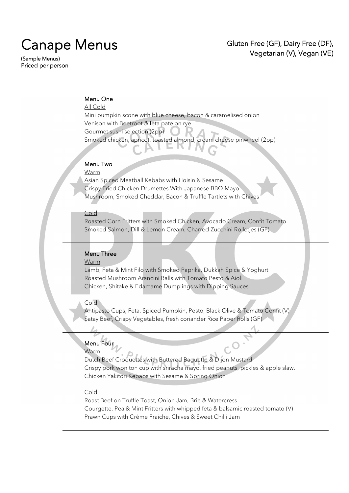# Canape Menus<br>(Sample Menus)

Priced per person

# Gluten Free (GF), Dairy Free (DF), Vegetarian (V), Vegan (VE)

# Menu One

## All Cold

Mini pumpkin scone with blue cheese, bacon & caramelised onion Venison with Beetroot & feta pate on rye Gourmet sushi selection (2pp) Smoked chicken, apricot, toasted almond, cream cheese pinwheel (2pp)

# Menu Two

Warm

Asian Spiced Meatball Kebabs with Hoisin & Sesame Crispy Fried Chicken Drumettes With Japanese BBQ Mayo Mushroom, Smoked Cheddar, Bacon & Truffle Tartlets with Chives

#### **Cold**

Roasted Corn Fritters with Smoked Chicken, Avocado Cream, Confit Tomato Smoked Salmon, Dill & Lemon Cream, Charred Zucchini Rolletjes (GF)

# Menu Three

#### Warm

Lamb, Feta & Mint Filo with Smoked Paprika, Dukkah Spice & Yoghurt Roasted Mushroom Arancini Balls with Tomato Pesto & Aioli Chicken, Shitake & Edamame Dumplings with Dipping Sauces

#### Cold

Antipasto Cups, Feta, Spiced Pumpkin, Pesto, Black Olive & Tomato Confit (V) Satay Beef, Crispy Vegetables, fresh coriander Rice Paper Rolls (GF)

## Menu Four

#### **Warm**

Dutch Beef Croquettes with Buttered Baguette & Dijon Mustard Crispy pork won ton cup with sriracha mayo, fried peanuts, pickles & apple slaw. Chicken Yakitori Kebabs with Sesame & Spring Onion

#### Cold

Roast Beef on Truffle Toast, Onion Jam, Brie & Watercress Courgette, Pea & Mint Fritters with whipped feta & balsamic roasted tomato (V) Prawn Cups with Crème Fraiche, Chives & Sweet Chilli Jam